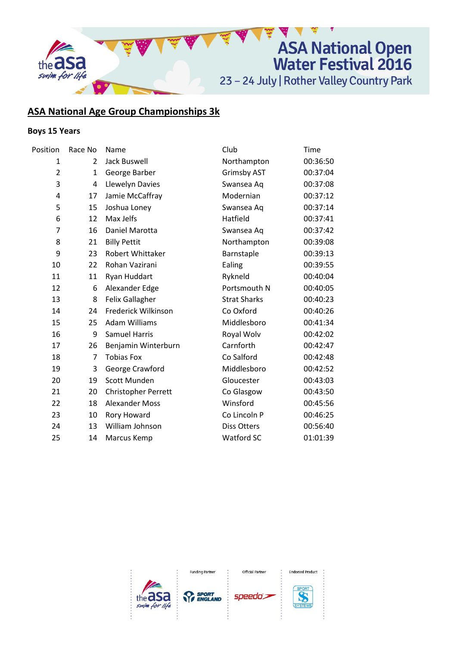

# **ASA National Age Group Championships 3k**

# **Boys 15 Years**

| Position       | Race No | Name                  | Club                | Time     |
|----------------|---------|-----------------------|---------------------|----------|
| 1              | 2       | Jack Buswell          | Northampton         | 00:36:50 |
| $\overline{2}$ | 1       | George Barber         | <b>Grimsby AST</b>  | 00:37:04 |
| 3              | 4       | Llewelyn Davies       | Swansea Aq          | 00:37:08 |
| 4              | 17      | Jamie McCaffray       | Modernian           | 00:37:12 |
| 5              | 15      | Joshua Loney          | Swansea Aq          | 00:37:14 |
| 6              | 12      | Max Jelfs             | Hatfield            | 00:37:41 |
| $\overline{7}$ | 16      | Daniel Marotta        | Swansea Aq          | 00:37:42 |
| 8              | 21      | <b>Billy Pettit</b>   | Northampton         | 00:39:08 |
| 9              | 23      | Robert Whittaker      | Barnstaple          | 00:39:13 |
| 10             | 22      | Rohan Vazirani        | Ealing              | 00:39:55 |
| 11             | 11      | Ryan Huddart          | Rykneld             | 00:40:04 |
| 12             | 6       | Alexander Edge        | Portsmouth N        | 00:40:05 |
| 13             | 8       | Felix Gallagher       | <b>Strat Sharks</b> | 00:40:23 |
| 14             | 24      | Frederick Wilkinson   | Co Oxford           | 00:40:26 |
| 15             | 25      | <b>Adam Williams</b>  | Middlesboro         | 00:41:34 |
| 16             | 9       | <b>Samuel Harris</b>  | Royal Wolv          | 00:42:02 |
| 17             | 26      | Benjamin Winterburn   | Carnforth           | 00:42:47 |
| 18             | 7       | <b>Tobias Fox</b>     | Co Salford          | 00:42:48 |
| 19             | 3       | George Crawford       | Middlesboro         | 00:42:52 |
| 20             | 19      | Scott Munden          | Gloucester          | 00:43:03 |
| 21             | 20      | Christopher Perrett   | Co Glasgow          | 00:43:50 |
| 22             | 18      | <b>Alexander Moss</b> | Winsford            | 00:45:56 |
| 23             | 10      | Rory Howard           | Co Lincoln P        | 00:46:25 |
| 24             | 13      | William Johnson       | Diss Otters         | 00:56:40 |
| 25             | 14      | Marcus Kemp           | Watford SC          | 01:01:39 |
|                |         |                       |                     |          |



**Endorsed Product** 

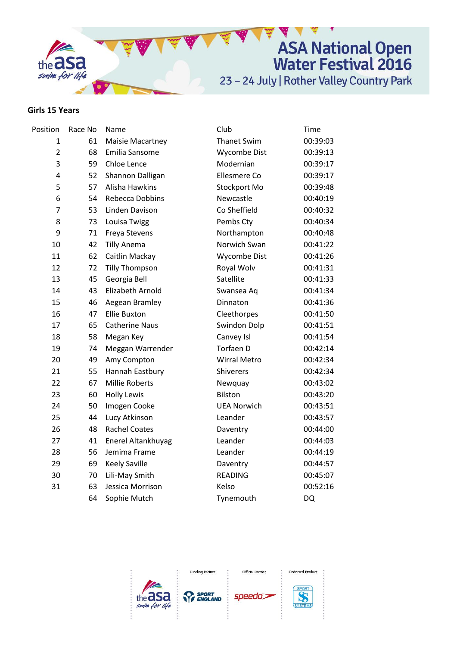

#### **Girls 15 Years**

| Position                | Race No | Name                    | Club                | Time      |
|-------------------------|---------|-------------------------|---------------------|-----------|
| 1                       | 61      | <b>Maisie Macartney</b> | <b>Thanet Swim</b>  | 00:39:03  |
| $\overline{2}$          | 68      | Emilia Sansome          | Wycombe Dist        | 00:39:13  |
| 3                       | 59      | Chloe Lence             | Modernian           | 00:39:17  |
| $\overline{\mathbf{4}}$ | 52      | Shannon Dalligan        | Ellesmere Co        | 00:39:17  |
| 5                       | 57      | Alisha Hawkins          | Stockport Mo        | 00:39:48  |
| 6                       | 54      | Rebecca Dobbins         | Newcastle           | 00:40:19  |
| $\overline{7}$          | 53      | Linden Davison          | Co Sheffield        | 00:40:32  |
| 8                       | 73      | Louisa Twigg            | Pembs Cty           | 00:40:34  |
| 9                       | 71      | Freya Stevens           | Northampton         | 00:40:48  |
| 10                      | 42      | <b>Tilly Anema</b>      | Norwich Swan        | 00:41:22  |
| 11                      | 62      | Caitlin Mackay          | Wycombe Dist        | 00:41:26  |
| 12                      | 72      | <b>Tilly Thompson</b>   | Royal Wolv          | 00:41:31  |
| 13                      | 45      | Georgia Bell            | Satellite           | 00:41:33  |
| 14                      | 43      | Elizabeth Arnold        | Swansea Aq          | 00:41:34  |
| 15                      | 46      | Aegean Bramley          | Dinnaton            | 00:41:36  |
| 16                      | 47      | <b>Ellie Buxton</b>     | Cleethorpes         | 00:41:50  |
| 17                      | 65      | <b>Catherine Naus</b>   | Swindon Dolp        | 00:41:51  |
| 18                      | 58      | Megan Key               | Canvey Isl          | 00:41:54  |
| 19                      | 74      | Meggan Warrender        | Torfaen D           | 00:42:14  |
| 20                      | 49      | Amy Compton             | <b>Wirral Metro</b> | 00:42:34  |
| 21                      | 55      | Hannah Eastbury         | Shiverers           | 00:42:34  |
| 22                      | 67      | Millie Roberts          | Newquay             | 00:43:02  |
| 23                      | 60      | <b>Holly Lewis</b>      | <b>Bilston</b>      | 00:43:20  |
| 24                      | 50      | Imogen Cooke            | <b>UEA Norwich</b>  | 00:43:51  |
| 25                      | 44      | Lucy Atkinson           | Leander             | 00:43:57  |
| 26                      | 48      | <b>Rachel Coates</b>    | Daventry            | 00:44:00  |
| 27                      | 41      | Enerel Altankhuyag      | Leander             | 00:44:03  |
| 28                      | 56      | Jemima Frame            | Leander             | 00:44:19  |
| 29                      | 69      | <b>Keely Saville</b>    | Daventry            | 00:44:57  |
| 30                      | 70      | Lili-May Smith          | <b>READING</b>      | 00:45:07  |
| 31                      | 63      | Jessica Morrison        | Kelso               | 00:52:16  |
|                         | 64      | Sophie Mutch            | Tynemouth           | <b>DQ</b> |



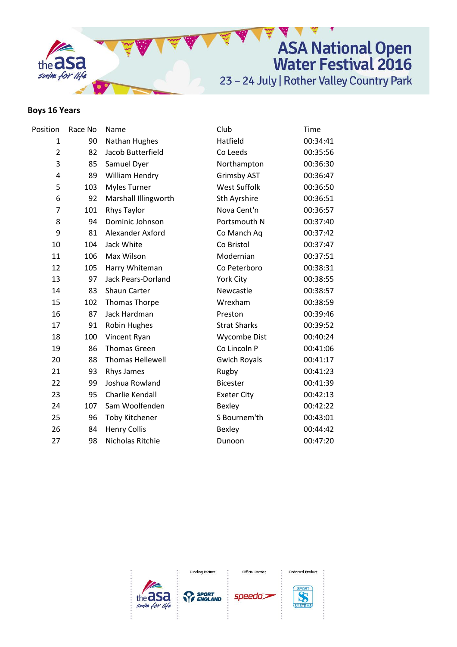

## **Boys 16 Years**

| Position       | Race No | Name                    | Club                | Time     |
|----------------|---------|-------------------------|---------------------|----------|
| $\mathbf{1}$   | 90      | Nathan Hughes           | Hatfield            | 00:34:41 |
| $\overline{2}$ | 82      | Jacob Butterfield       | Co Leeds            | 00:35:56 |
| 3              | 85      | Samuel Dyer             | Northampton         | 00:36:30 |
| 4              | 89      | William Hendry          | <b>Grimsby AST</b>  | 00:36:47 |
| 5              | 103     | <b>Myles Turner</b>     | <b>West Suffolk</b> | 00:36:50 |
| 6              | 92      | Marshall Illingworth    | Sth Ayrshire        | 00:36:51 |
| $\overline{7}$ | 101     | Rhys Taylor             | Nova Cent'n         | 00:36:57 |
| 8              | 94      | Dominic Johnson         | Portsmouth N        | 00:37:40 |
| 9              | 81      | Alexander Axford        | Co Manch Aq         | 00:37:42 |
| 10             | 104     | Jack White              | Co Bristol          | 00:37:47 |
| 11             | 106     | Max Wilson              | Modernian           | 00:37:51 |
| 12             | 105     | Harry Whiteman          | Co Peterboro        | 00:38:31 |
| 13             | 97      | Jack Pears-Dorland      | York City           | 00:38:55 |
| 14             | 83      | Shaun Carter            | Newcastle           | 00:38:57 |
| 15             | 102     | Thomas Thorpe           | Wrexham             | 00:38:59 |
| 16             | 87      | Jack Hardman            | Preston             | 00:39:46 |
| 17             | 91      | <b>Robin Hughes</b>     | <b>Strat Sharks</b> | 00:39:52 |
| 18             | 100     | Vincent Ryan            | Wycombe Dist        | 00:40:24 |
| 19             | 86      | <b>Thomas Green</b>     | Co Lincoln P        | 00:41:06 |
| 20             | 88      | <b>Thomas Hellewell</b> | <b>Gwich Royals</b> | 00:41:17 |
| 21             | 93      | Rhys James              | Rugby               | 00:41:23 |
| 22             | 99      | Joshua Rowland          | <b>Bicester</b>     | 00:41:39 |
| 23             | 95      | Charlie Kendall         | <b>Exeter City</b>  | 00:42:13 |
| 24             | 107     | Sam Woolfenden          | Bexley              | 00:42:22 |
| 25             | 96      | <b>Toby Kitchener</b>   | S Bournem'th        | 00:43:01 |
| 26             | 84      | <b>Henry Collis</b>     | Bexley              | 00:44:42 |
| 27             | 98      | Nicholas Ritchie        | Dunoon              | 00:47:20 |
|                |         |                         |                     |          |



Official Partner

**Endorsed Product**